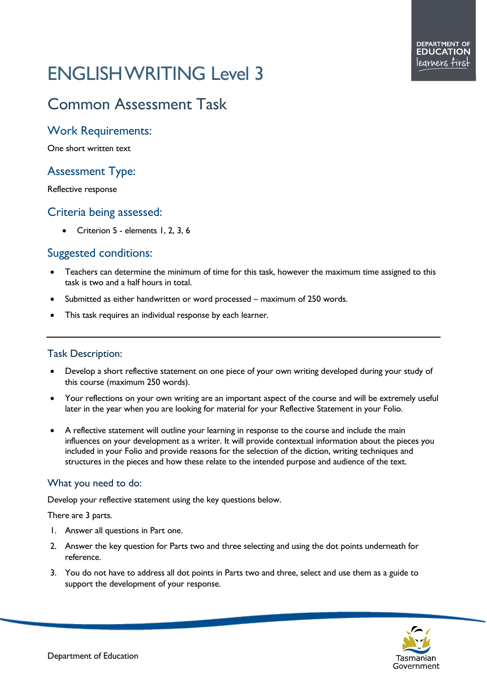# ENGLISH WRITING Level 3

# Common Assessment Task

## Work Requirements:

One short written text

# Assessment Type:

Reflective response

### Criteria being assessed:

• Criterion 5 - elements 1, 2, 3, 6

# Suggested conditions:

- Teachers can determine the minimum of time for this task, however the maximum time assigned to this task is two and a half hours in total.
- Submitted as either handwritten or word processed maximum of 250 words.
- This task requires an individual response by each learner.

#### Task Description:

- Develop a short reflective statement on one piece of your own writing developed during your study of this course (maximum 250 words).
- Your reflections on your own writing are an important aspect of the course and will be extremely useful later in the year when you are looking for material for your Reflective Statement in your Folio.
- A reflective statement will outline your learning in response to the course and include the main influences on your development as a writer. It will provide contextual information about the pieces you included in your Folio and provide reasons for the selection of the diction, writing techniques and structures in the pieces and how these relate to the intended purpose and audience of the text.

#### What you need to do:

Develop your reflective statement using the key questions below.

There are 3 parts.

- 1. Answer all questions in Part one.
- 2. Answer the key question for Parts two and three selecting and using the dot points underneath for reference.
- 3. You do not have to address all dot points in Parts two and three, select and use them as a guide to support the development of your response.